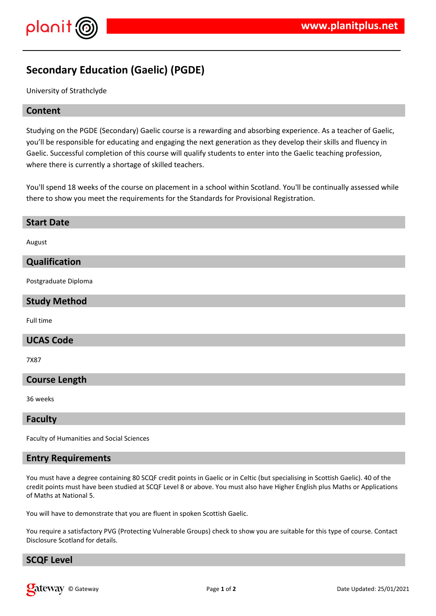

# **Secondary Education (Gaelic) (PGDE)**

University of Strathclyde

#### **Content**

Studying on the PGDE (Secondary) Gaelic course is a rewarding and absorbing experience. As a teacher of Gaelic, you'll be responsible for educating and engaging the next generation as they develop their skills and fluency in Gaelic. Successful completion of this course will qualify students to enter into the Gaelic teaching profession, where there is currently a shortage of skilled teachers.

You'll spend 18 weeks of the course on placement in a school within Scotland. You'll be continually assessed while there to show you meet the requirements for the Standards for Provisional Registration.

| <b>Start Date</b>    |
|----------------------|
| August               |
| Qualification        |
| Postgraduate Diploma |
| <b>Study Method</b>  |
| Full time            |
| <b>UCAS Code</b>     |
| 7X87                 |
| <b>Course Length</b> |
| 36 weeks             |

## **Faculty**

Faculty of Humanities and Social Sciences

#### **Entry Requirements**

You must have a degree containing 80 SCQF credit points in Gaelic or in Celtic (but specialising in Scottish Gaelic). 40 of the credit points must have been studied at SCQF Level 8 or above. You must also have Higher English plus Maths or Applications of Maths at National 5.

You will have to demonstrate that you are fluent in spoken Scottish Gaelic.

You require a satisfactory PVG (Protecting Vulnerable Groups) check to show you are suitable for this type of course. Contact Disclosure Scotland for details.

#### **SCQF Level**